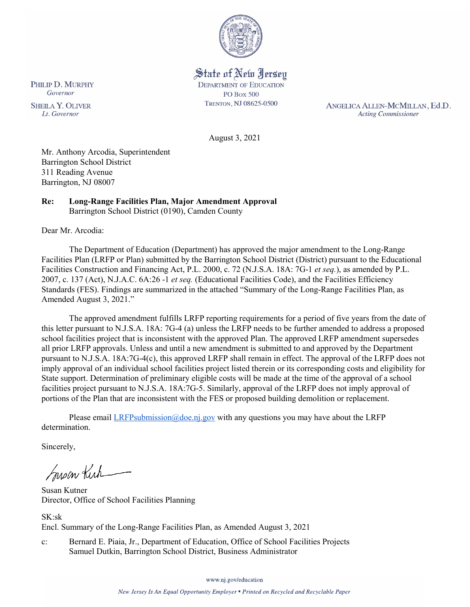

State of New Jersey **DEPARTMENT OF EDUCATION PO Box 500** TRENTON, NJ 08625-0500

ANGELICA ALLEN-MCMILLAN, Ed.D. **Acting Commissioner** 

August 3, 2021

Mr. Anthony Arcodia, Superintendent Barrington School District 311 Reading Avenue Barrington, NJ 08007

#### **Re: Long-Range Facilities Plan, Major Amendment Approval**  Barrington School District (0190), Camden County

Dear Mr. Arcodia:

The Department of Education (Department) has approved the major amendment to the Long-Range Facilities Plan (LRFP or Plan) submitted by the Barrington School District (District) pursuant to the Educational Facilities Construction and Financing Act, P.L. 2000, c. 72 (N.J.S.A. 18A: 7G-1 *et seq.*), as amended by P.L. 2007, c. 137 (Act), N.J.A.C. 6A:26 -1 *et seq.* (Educational Facilities Code), and the Facilities Efficiency Standards (FES). Findings are summarized in the attached "Summary of the Long-Range Facilities Plan, as Amended August 3, 2021."

The approved amendment fulfills LRFP reporting requirements for a period of five years from the date of this letter pursuant to N.J.S.A. 18A: 7G-4 (a) unless the LRFP needs to be further amended to address a proposed school facilities project that is inconsistent with the approved Plan. The approved LRFP amendment supersedes all prior LRFP approvals. Unless and until a new amendment is submitted to and approved by the Department pursuant to N.J.S.A. 18A:7G-4(c), this approved LRFP shall remain in effect. The approval of the LRFP does not imply approval of an individual school facilities project listed therein or its corresponding costs and eligibility for State support. Determination of preliminary eligible costs will be made at the time of the approval of a school facilities project pursuant to N.J.S.A. 18A:7G-5. Similarly, approval of the LRFP does not imply approval of portions of the Plan that are inconsistent with the FES or proposed building demolition or replacement.

Please email  $LRFP submission@doe.nj.gov$  with any questions you may have about the LRFP determination.

Sincerely,

Susan Kich

Susan Kutner Director, Office of School Facilities Planning

SK:sk Encl. Summary of the Long-Range Facilities Plan, as Amended August 3, 2021

c: Bernard E. Piaia, Jr., Department of Education, Office of School Facilities Projects Samuel Dutkin, Barrington School District, Business Administrator

www.nj.gov/education

PHILIP D. MURPHY Governor

**SHEILA Y. OLIVER** Lt. Governor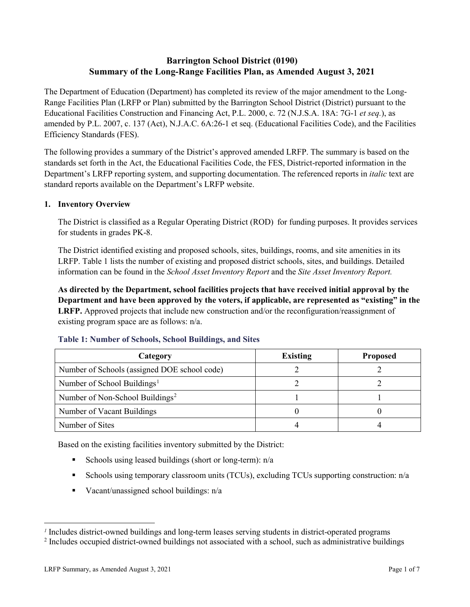# **Barrington School District (0190) Summary of the Long-Range Facilities Plan, as Amended August 3, 2021**

The Department of Education (Department) has completed its review of the major amendment to the Long-Range Facilities Plan (LRFP or Plan) submitted by the Barrington School District (District) pursuant to the Educational Facilities Construction and Financing Act, P.L. 2000, c. 72 (N.J.S.A. 18A: 7G-1 *et seq.*), as amended by P.L. 2007, c. 137 (Act), N.J.A.C. 6A:26-1 et seq. (Educational Facilities Code), and the Facilities Efficiency Standards (FES).

The following provides a summary of the District's approved amended LRFP. The summary is based on the standards set forth in the Act, the Educational Facilities Code, the FES, District-reported information in the Department's LRFP reporting system, and supporting documentation. The referenced reports in *italic* text are standard reports available on the Department's LRFP website.

# **1. Inventory Overview**

The District is classified as a Regular Operating District (ROD) for funding purposes. It provides services for students in grades PK-8.

The District identified existing and proposed schools, sites, buildings, rooms, and site amenities in its LRFP. Table 1 lists the number of existing and proposed district schools, sites, and buildings. Detailed information can be found in the *School Asset Inventory Report* and the *Site Asset Inventory Report.*

**As directed by the Department, school facilities projects that have received initial approval by the Department and have been approved by the voters, if applicable, are represented as "existing" in the LRFP.** Approved projects that include new construction and/or the reconfiguration/reassignment of existing program space are as follows: n/a.

| Category                                     | <b>Existing</b> | <b>Proposed</b> |
|----------------------------------------------|-----------------|-----------------|
| Number of Schools (assigned DOE school code) |                 |                 |
| Number of School Buildings <sup>1</sup>      |                 |                 |
| Number of Non-School Buildings <sup>2</sup>  |                 |                 |
| Number of Vacant Buildings                   |                 |                 |
| Number of Sites                              |                 |                 |

#### **Table 1: Number of Schools, School Buildings, and Sites**

Based on the existing facilities inventory submitted by the District:

- Schools using leased buildings (short or long-term):  $n/a$
- Schools using temporary classroom units (TCUs), excluding TCUs supporting construction: n/a
- Vacant/unassigned school buildings:  $n/a$

 $\overline{a}$ 

<span id="page-1-1"></span><span id="page-1-0"></span>*<sup>1</sup>* Includes district-owned buildings and long-term leases serving students in district-operated programs

<sup>&</sup>lt;sup>2</sup> Includes occupied district-owned buildings not associated with a school, such as administrative buildings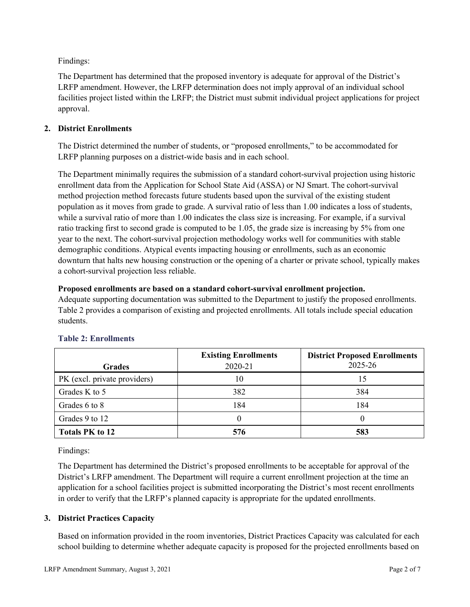Findings:

The Department has determined that the proposed inventory is adequate for approval of the District's LRFP amendment. However, the LRFP determination does not imply approval of an individual school facilities project listed within the LRFP; the District must submit individual project applications for project approval.

# **2. District Enrollments**

The District determined the number of students, or "proposed enrollments," to be accommodated for LRFP planning purposes on a district-wide basis and in each school.

The Department minimally requires the submission of a standard cohort-survival projection using historic enrollment data from the Application for School State Aid (ASSA) or NJ Smart. The cohort-survival method projection method forecasts future students based upon the survival of the existing student population as it moves from grade to grade. A survival ratio of less than 1.00 indicates a loss of students, while a survival ratio of more than 1.00 indicates the class size is increasing. For example, if a survival ratio tracking first to second grade is computed to be 1.05, the grade size is increasing by 5% from one year to the next. The cohort-survival projection methodology works well for communities with stable demographic conditions. Atypical events impacting housing or enrollments, such as an economic downturn that halts new housing construction or the opening of a charter or private school, typically makes a cohort-survival projection less reliable.

#### **Proposed enrollments are based on a standard cohort-survival enrollment projection.**

Adequate supporting documentation was submitted to the Department to justify the proposed enrollments. Table 2 provides a comparison of existing and projected enrollments. All totals include special education students.

|                              | <b>Existing Enrollments</b> | <b>District Proposed Enrollments</b> |
|------------------------------|-----------------------------|--------------------------------------|
| <b>Grades</b>                | 2020-21                     | 2025-26                              |
| PK (excl. private providers) | 10                          | 15                                   |
| Grades K to 5                | 382                         | 384                                  |
| Grades 6 to 8                | 184                         | 184                                  |
| Grades 9 to 12               |                             |                                      |
| <b>Totals PK to 12</b>       | 576                         | 583                                  |

# **Table 2: Enrollments**

Findings:

The Department has determined the District's proposed enrollments to be acceptable for approval of the District's LRFP amendment. The Department will require a current enrollment projection at the time an application for a school facilities project is submitted incorporating the District's most recent enrollments in order to verify that the LRFP's planned capacity is appropriate for the updated enrollments.

# **3. District Practices Capacity**

Based on information provided in the room inventories, District Practices Capacity was calculated for each school building to determine whether adequate capacity is proposed for the projected enrollments based on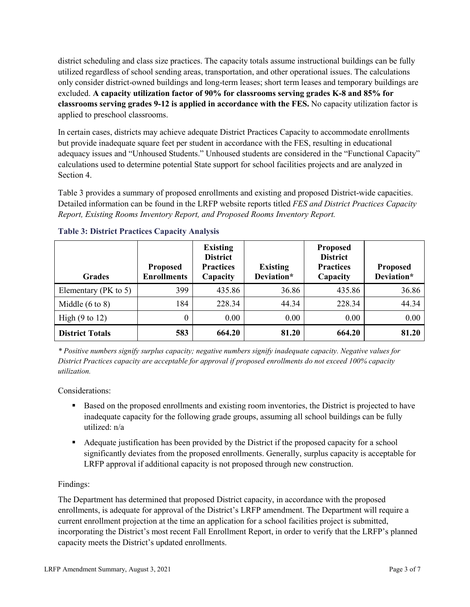district scheduling and class size practices. The capacity totals assume instructional buildings can be fully utilized regardless of school sending areas, transportation, and other operational issues. The calculations only consider district-owned buildings and long-term leases; short term leases and temporary buildings are excluded. **A capacity utilization factor of 90% for classrooms serving grades K-8 and 85% for classrooms serving grades 9-12 is applied in accordance with the FES.** No capacity utilization factor is applied to preschool classrooms.

In certain cases, districts may achieve adequate District Practices Capacity to accommodate enrollments but provide inadequate square feet per student in accordance with the FES, resulting in educational adequacy issues and "Unhoused Students." Unhoused students are considered in the "Functional Capacity" calculations used to determine potential State support for school facilities projects and are analyzed in Section 4.

Table 3 provides a summary of proposed enrollments and existing and proposed District-wide capacities. Detailed information can be found in the LRFP website reports titled *FES and District Practices Capacity Report, Existing Rooms Inventory Report, and Proposed Rooms Inventory Report.*

| <b>Grades</b>              | <b>Proposed</b><br><b>Enrollments</b> | <b>Existing</b><br><b>District</b><br><b>Practices</b><br>Capacity | <b>Existing</b><br>Deviation* | <b>Proposed</b><br><b>District</b><br><b>Practices</b><br>Capacity | <b>Proposed</b><br>Deviation* |
|----------------------------|---------------------------------------|--------------------------------------------------------------------|-------------------------------|--------------------------------------------------------------------|-------------------------------|
| Elementary ( $PK$ to 5)    | 399                                   | 435.86                                                             | 36.86                         | 435.86                                                             | 36.86                         |
| Middle $(6 \text{ to } 8)$ | 184                                   | 228.34                                                             | 44.34                         | 228.34                                                             | 44.34                         |
| High $(9 \text{ to } 12)$  | 0                                     | 0.00                                                               | 0.00                          | 0.00                                                               | 0.00                          |
| <b>District Totals</b>     | 583                                   | 664.20                                                             | 81.20                         | 664.20                                                             | 81.20                         |

# **Table 3: District Practices Capacity Analysis**

*\* Positive numbers signify surplus capacity; negative numbers signify inadequate capacity. Negative values for District Practices capacity are acceptable for approval if proposed enrollments do not exceed 100% capacity utilization.*

Considerations:

- Based on the proposed enrollments and existing room inventories, the District is projected to have inadequate capacity for the following grade groups, assuming all school buildings can be fully utilized: n/a
- Adequate justification has been provided by the District if the proposed capacity for a school significantly deviates from the proposed enrollments. Generally, surplus capacity is acceptable for LRFP approval if additional capacity is not proposed through new construction.

# Findings:

The Department has determined that proposed District capacity, in accordance with the proposed enrollments, is adequate for approval of the District's LRFP amendment. The Department will require a current enrollment projection at the time an application for a school facilities project is submitted, incorporating the District's most recent Fall Enrollment Report, in order to verify that the LRFP's planned capacity meets the District's updated enrollments.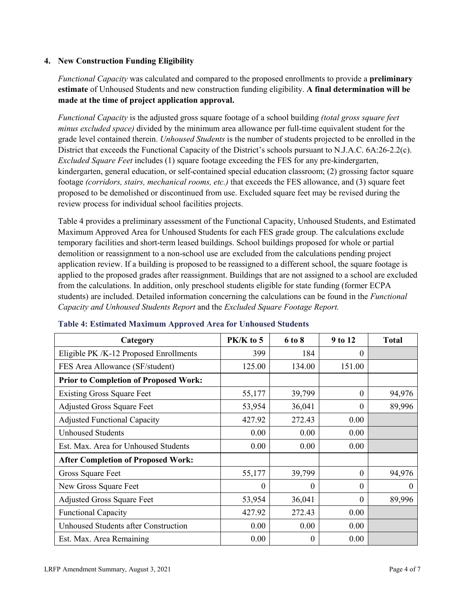#### **4. New Construction Funding Eligibility**

*Functional Capacity* was calculated and compared to the proposed enrollments to provide a **preliminary estimate** of Unhoused Students and new construction funding eligibility. **A final determination will be made at the time of project application approval.**

*Functional Capacity* is the adjusted gross square footage of a school building *(total gross square feet minus excluded space)* divided by the minimum area allowance per full-time equivalent student for the grade level contained therein. *Unhoused Students* is the number of students projected to be enrolled in the District that exceeds the Functional Capacity of the District's schools pursuant to N.J.A.C. 6A:26-2.2(c). *Excluded Square Feet* includes (1) square footage exceeding the FES for any pre-kindergarten, kindergarten, general education, or self-contained special education classroom; (2) grossing factor square footage *(corridors, stairs, mechanical rooms, etc.)* that exceeds the FES allowance, and (3) square feet proposed to be demolished or discontinued from use. Excluded square feet may be revised during the review process for individual school facilities projects.

Table 4 provides a preliminary assessment of the Functional Capacity, Unhoused Students, and Estimated Maximum Approved Area for Unhoused Students for each FES grade group. The calculations exclude temporary facilities and short-term leased buildings. School buildings proposed for whole or partial demolition or reassignment to a non-school use are excluded from the calculations pending project application review. If a building is proposed to be reassigned to a different school, the square footage is applied to the proposed grades after reassignment. Buildings that are not assigned to a school are excluded from the calculations. In addition, only preschool students eligible for state funding (former ECPA students) are included. Detailed information concerning the calculations can be found in the *Functional Capacity and Unhoused Students Report* and the *Excluded Square Footage Report.*

| Category                                     | PK/K to 5 | 6 to 8 | 9 to 12  | <b>Total</b> |
|----------------------------------------------|-----------|--------|----------|--------------|
| Eligible PK /K-12 Proposed Enrollments       | 399       | 184    | 0        |              |
| FES Area Allowance (SF/student)              | 125.00    | 134.00 | 151.00   |              |
| <b>Prior to Completion of Proposed Work:</b> |           |        |          |              |
| <b>Existing Gross Square Feet</b>            | 55,177    | 39,799 | $\Omega$ | 94,976       |
| <b>Adjusted Gross Square Feet</b>            | 53,954    | 36,041 | $\theta$ | 89,996       |
| <b>Adjusted Functional Capacity</b>          | 427.92    | 272.43 | 0.00     |              |
| <b>Unhoused Students</b>                     | 0.00      | 0.00   | 0.00     |              |
| Est. Max. Area for Unhoused Students         | 0.00      | 0.00   | 0.00     |              |
| <b>After Completion of Proposed Work:</b>    |           |        |          |              |
| Gross Square Feet                            | 55,177    | 39,799 | $\theta$ | 94,976       |
| New Gross Square Feet                        | $\theta$  | 0      | $\theta$ | $\Omega$     |
| <b>Adjusted Gross Square Feet</b>            | 53,954    | 36,041 | $\Omega$ | 89,996       |
| <b>Functional Capacity</b>                   | 427.92    | 272.43 | 0.00     |              |
| Unhoused Students after Construction         | 0.00      | 0.00   | 0.00     |              |
| Est. Max. Area Remaining                     | 0.00      | 0      | 0.00     |              |

#### **Table 4: Estimated Maximum Approved Area for Unhoused Students**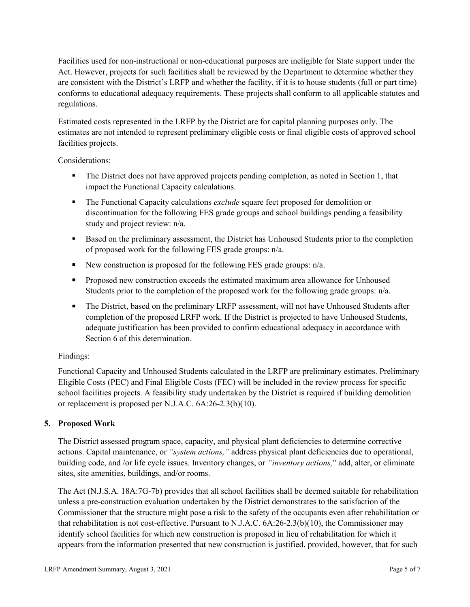Facilities used for non-instructional or non-educational purposes are ineligible for State support under the Act. However, projects for such facilities shall be reviewed by the Department to determine whether they are consistent with the District's LRFP and whether the facility, if it is to house students (full or part time) conforms to educational adequacy requirements. These projects shall conform to all applicable statutes and regulations.

Estimated costs represented in the LRFP by the District are for capital planning purposes only. The estimates are not intended to represent preliminary eligible costs or final eligible costs of approved school facilities projects.

Considerations:

- The District does not have approved projects pending completion, as noted in Section 1, that impact the Functional Capacity calculations.
- **The Functional Capacity calculations** *exclude* square feet proposed for demolition or discontinuation for the following FES grade groups and school buildings pending a feasibility study and project review: n/a.
- Based on the preliminary assessment, the District has Unhoused Students prior to the completion of proposed work for the following FES grade groups: n/a.
- New construction is proposed for the following FES grade groups: n/a.
- Proposed new construction exceeds the estimated maximum area allowance for Unhoused Students prior to the completion of the proposed work for the following grade groups: n/a.
- The District, based on the preliminary LRFP assessment, will not have Unhoused Students after completion of the proposed LRFP work. If the District is projected to have Unhoused Students, adequate justification has been provided to confirm educational adequacy in accordance with Section 6 of this determination.

# Findings:

Functional Capacity and Unhoused Students calculated in the LRFP are preliminary estimates. Preliminary Eligible Costs (PEC) and Final Eligible Costs (FEC) will be included in the review process for specific school facilities projects. A feasibility study undertaken by the District is required if building demolition or replacement is proposed per N.J.A.C. 6A:26-2.3(b)(10).

# **5. Proposed Work**

The District assessed program space, capacity, and physical plant deficiencies to determine corrective actions. Capital maintenance, or *"system actions,"* address physical plant deficiencies due to operational, building code, and /or life cycle issues. Inventory changes, or *"inventory actions,*" add, alter, or eliminate sites, site amenities, buildings, and/or rooms.

The Act (N.J.S.A. 18A:7G-7b) provides that all school facilities shall be deemed suitable for rehabilitation unless a pre-construction evaluation undertaken by the District demonstrates to the satisfaction of the Commissioner that the structure might pose a risk to the safety of the occupants even after rehabilitation or that rehabilitation is not cost-effective. Pursuant to N.J.A.C. 6A:26-2.3(b)(10), the Commissioner may identify school facilities for which new construction is proposed in lieu of rehabilitation for which it appears from the information presented that new construction is justified, provided, however, that for such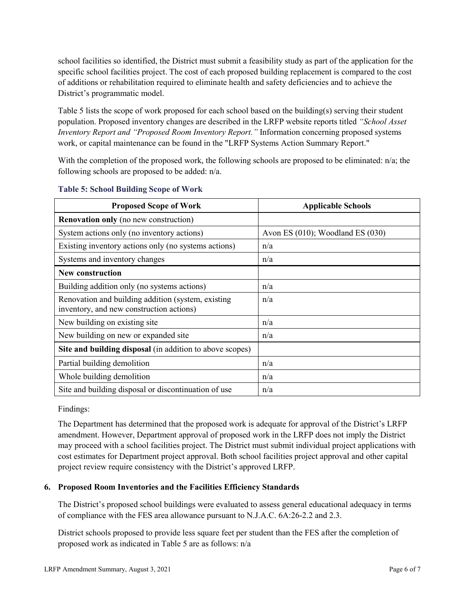school facilities so identified, the District must submit a feasibility study as part of the application for the specific school facilities project. The cost of each proposed building replacement is compared to the cost of additions or rehabilitation required to eliminate health and safety deficiencies and to achieve the District's programmatic model.

Table 5 lists the scope of work proposed for each school based on the building(s) serving their student population. Proposed inventory changes are described in the LRFP website reports titled *"School Asset Inventory Report and "Proposed Room Inventory Report."* Information concerning proposed systems work, or capital maintenance can be found in the "LRFP Systems Action Summary Report."

With the completion of the proposed work, the following schools are proposed to be eliminated: n/a; the following schools are proposed to be added: n/a.

| <b>Proposed Scope of Work</b>                                                                  | <b>Applicable Schools</b>        |
|------------------------------------------------------------------------------------------------|----------------------------------|
| <b>Renovation only</b> (no new construction)                                                   |                                  |
| System actions only (no inventory actions)                                                     | Avon ES (010); Woodland ES (030) |
| Existing inventory actions only (no systems actions)                                           | n/a                              |
| Systems and inventory changes                                                                  | n/a                              |
| <b>New construction</b>                                                                        |                                  |
| Building addition only (no systems actions)                                                    | n/a                              |
| Renovation and building addition (system, existing<br>inventory, and new construction actions) | n/a                              |
| New building on existing site                                                                  | n/a                              |
| New building on new or expanded site                                                           | n/a                              |
| Site and building disposal (in addition to above scopes)                                       |                                  |
| Partial building demolition                                                                    | n/a                              |
| Whole building demolition                                                                      | n/a                              |
| Site and building disposal or discontinuation of use                                           | n/a                              |

#### **Table 5: School Building Scope of Work**

Findings:

The Department has determined that the proposed work is adequate for approval of the District's LRFP amendment. However, Department approval of proposed work in the LRFP does not imply the District may proceed with a school facilities project. The District must submit individual project applications with cost estimates for Department project approval. Both school facilities project approval and other capital project review require consistency with the District's approved LRFP.

# **6. Proposed Room Inventories and the Facilities Efficiency Standards**

The District's proposed school buildings were evaluated to assess general educational adequacy in terms of compliance with the FES area allowance pursuant to N.J.A.C. 6A:26-2.2 and 2.3.

District schools proposed to provide less square feet per student than the FES after the completion of proposed work as indicated in Table 5 are as follows: n/a